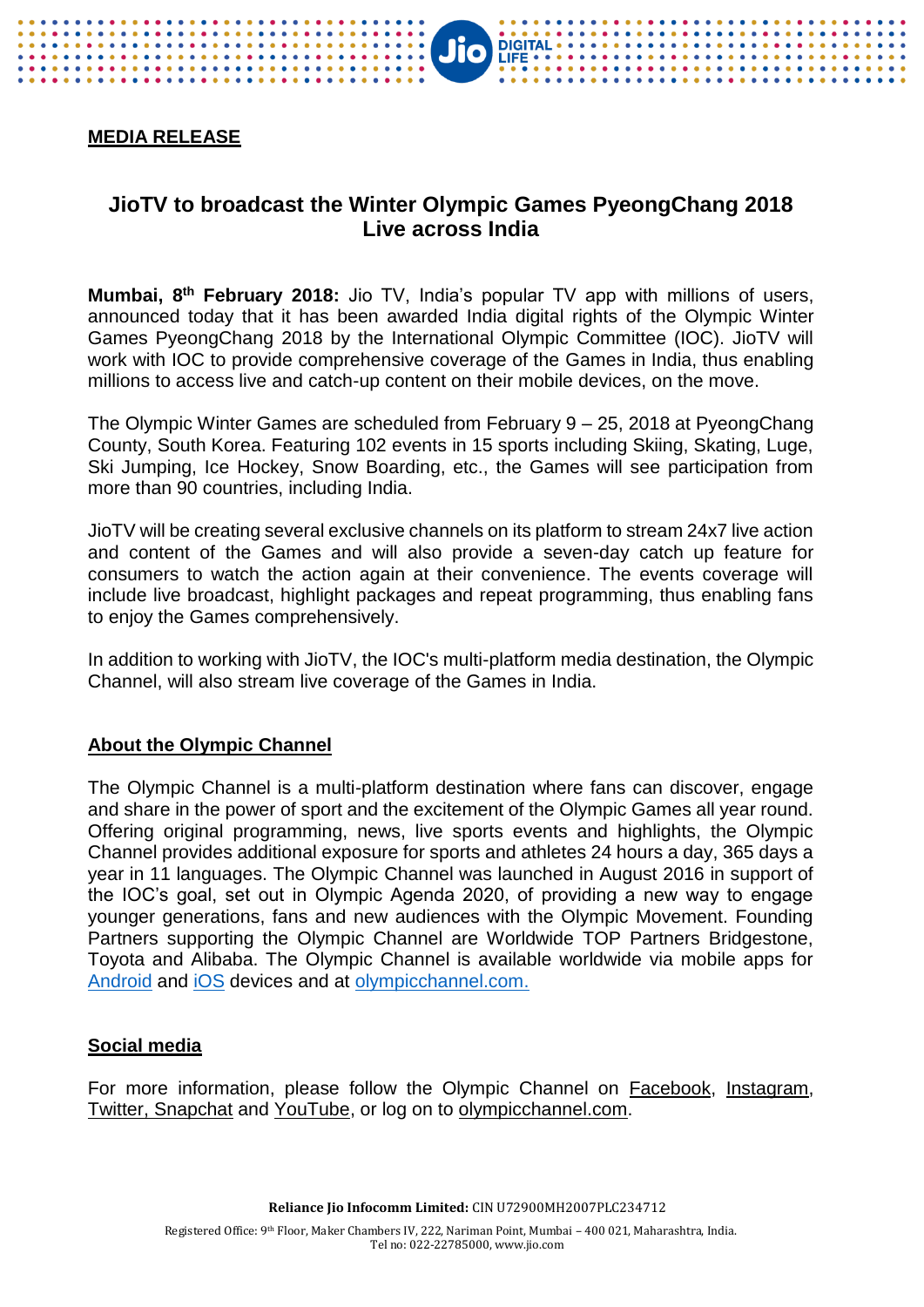## **MEDIA RELEASE**

# **JioTV to broadcast the Winter Olympic Games PyeongChang 2018 Live across India**

**JIO** DIGITAL

**Mumbai, 8 th February 2018:** Jio TV, India's popular TV app with millions of users, announced today that it has been awarded India digital rights of the Olympic Winter Games PyeongChang 2018 by the International Olympic Committee (IOC). JioTV will work with IOC to provide comprehensive coverage of the Games in India, thus enabling millions to access live and catch-up content on their mobile devices, on the move.

The Olympic Winter Games are scheduled from February 9 – 25, 2018 at PyeongChang County, South Korea. Featuring 102 events in 15 sports including Skiing, Skating, Luge, Ski Jumping, Ice Hockey, Snow Boarding, etc., the Games will see participation from more than 90 countries, including India.

JioTV will be creating several exclusive channels on its platform to stream 24x7 live action and content of the Games and will also provide a seven-day catch up feature for consumers to watch the action again at their convenience. The events coverage will include live broadcast, highlight packages and repeat programming, thus enabling fans to enjoy the Games comprehensively.

In addition to working with JioTV, the IOC's multi-platform media destination, the Olympic Channel, will also stream live coverage of the Games in India.

#### **About the Olympic Channel**

The Olympic Channel is a multi-platform destination where fans can discover, engage and share in the power of sport and the excitement of the Olympic Games all year round. Offering original programming, news, live sports events and highlights, the Olympic Channel provides additional exposure for sports and athletes 24 hours a day, 365 days a year in 11 languages. The Olympic Channel was launched in August 2016 in support of the IOC's goal, set out in Olympic Agenda 2020, of providing a new way to engage younger generations, fans and new audiences with the Olympic Movement. Founding Partners supporting the Olympic Channel are Worldwide TOP Partners Bridgestone, Toyota and Alibaba. The Olympic Channel is available worldwide via mobile apps for [Android](https://emea01.safelinks.protection.outlook.com/?url=https%3A%2F%2Fplay.google.com%2Fstore%2Fapps%2Fdetails%3Fid%3Dcom.olympicchannel.olympics&data=02%7C01%7Cbenjamin.seeley%40olympic.org%7C4efd700be95a468d35a908d567137241%7C506d4541f9c240c2a1031aa4736de230%7C0%7C0%7C636528255592796162&sdata=9B4K%2BzVp5qGIV%2FFoKdi%2FUFc40CbwFBtF9vk3TRxzUts%3D&reserved=0) and [iOS](https://emea01.safelinks.protection.outlook.com/?url=https%3A%2F%2Fitunes.apple.com%2Fapp%2Folympic-channel%2Fid1129875600&data=02%7C01%7Cbenjamin.seeley%40olympic.org%7C4efd700be95a468d35a908d567137241%7C506d4541f9c240c2a1031aa4736de230%7C0%7C0%7C636528255592796162&sdata=yDgO0GAqDgh%2Bb2X7erlWUYEkm3oV1cUXv0BPA4zfXhA%3D&reserved=0) devices and at [olympicchannel.com.](https://emea01.safelinks.protection.outlook.com/?url=http%3A%2F%2Fwww.olympicchannel.com&data=02%7C01%7Cbenjamin.seeley%40olympic.org%7C4efd700be95a468d35a908d567137241%7C506d4541f9c240c2a1031aa4736de230%7C0%7C0%7C636528255592796162&sdata=fgXaShXB0myml2mzgJQr5tSvtPmzHeerqYCGXnpovM0%3D&reserved=0)

#### **Social media**

For more information, please follow the Olympic Channel on [Facebook,](https://emea01.safelinks.protection.outlook.com/?url=https%3A%2F%2Fwww.facebook.com%2FOlympicChannel&data=02%7C01%7Cbenjamin.seeley%40olympic.org%7C4efd700be95a468d35a908d567137241%7C506d4541f9c240c2a1031aa4736de230%7C0%7C0%7C636528255592796162&sdata=zE4EQ6T2RcHEyfDKb6tawniRJ%2FxjlR0EYJp7RyzFeKs%3D&reserved=0) [Instagram,](https://emea01.safelinks.protection.outlook.com/?url=https%3A%2F%2Fwww.instagram.com%2Folympicchannel%2F&data=02%7C01%7Cbenjamin.seeley%40olympic.org%7C4efd700be95a468d35a908d567137241%7C506d4541f9c240c2a1031aa4736de230%7C0%7C0%7C636528255592796162&sdata=OL%2Bo6ZSY1Ko%2FnHEL0nz%2BUD1qVMJgTx1hCSpjki%2F%2Fm64%3D&reserved=0) [Twitter,](https://emea01.safelinks.protection.outlook.com/?url=https%3A%2F%2Ftwitter.com%2Folympicchannel&data=02%7C01%7Cbenjamin.seeley%40olympic.org%7C4efd700be95a468d35a908d567137241%7C506d4541f9c240c2a1031aa4736de230%7C0%7C0%7C636528255592796162&sdata=4dC50PapU1jRrMuknW4ensVz2JMiDX2YgrGz64ehc%2BQ%3D&reserved=0) Snapchat and [YouTube,](https://emea01.safelinks.protection.outlook.com/?url=https%3A%2F%2Fwww.youtube.com%2Folympics&data=02%7C01%7Cbenjamin.seeley%40olympic.org%7C4efd700be95a468d35a908d567137241%7C506d4541f9c240c2a1031aa4736de230%7C0%7C0%7C636528255592796162&sdata=MQQfP6lBCBt%2FoMzOscj1DC17JdIa%2FrsoB5uFV0RaVN4%3D&reserved=0) or log on to [olympicchannel.com.](https://emea01.safelinks.protection.outlook.com/?url=http%3A%2F%2Fwww.olympicchannel.com%2Fen%2F&data=02%7C01%7Cbenjamin.seeley%40olympic.org%7C4efd700be95a468d35a908d567137241%7C506d4541f9c240c2a1031aa4736de230%7C0%7C0%7C636528255592796162&sdata=O9WwtibIH1Ojlgh5ciosWPQgIO4fisYU91LNNQRT4z0%3D&reserved=0)